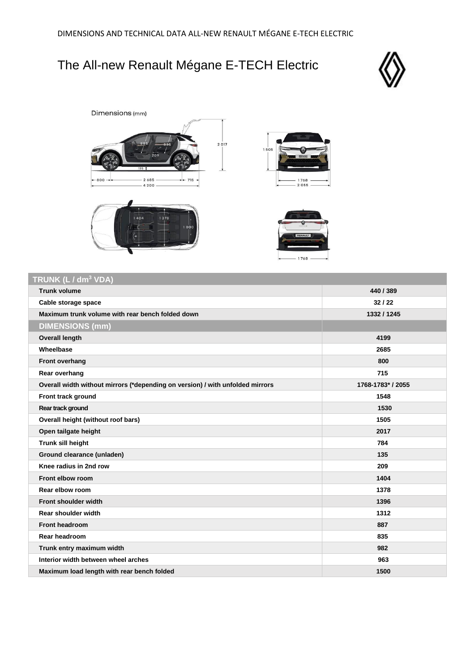## The All-new Renault Mégane E-TECH Electric







## **TRUNK (L / dm<sup>3</sup> VDA)**

| <b>Trunk volume</b>                                                           | 440 / 389         |
|-------------------------------------------------------------------------------|-------------------|
| Cable storage space                                                           | 32/22             |
| Maximum trunk volume with rear bench folded down                              | 1332 / 1245       |
| <b>DIMENSIONS (mm)</b>                                                        |                   |
| <b>Overall length</b>                                                         | 4199              |
| Wheelbase                                                                     | 2685              |
| Front overhang                                                                | 800               |
| Rear overhang                                                                 | 715               |
| Overall width without mirrors (*depending on version) / with unfolded mirrors | 1768-1783* / 2055 |
| Front track ground                                                            | 1548              |
| Rear track ground                                                             | 1530              |
| Overall height (without roof bars)                                            | 1505              |
| Open tailgate height                                                          | 2017              |
| Trunk sill height                                                             | 784               |
| Ground clearance (unladen)                                                    | 135               |
| Knee radius in 2nd row                                                        | 209               |
| Front elbow room                                                              | 1404              |
| Rear elbow room                                                               | 1378              |
| <b>Front shoulder width</b>                                                   | 1396              |
| Rear shoulder width                                                           | 1312              |
| Front headroom                                                                | 887               |
| Rear headroom                                                                 | 835               |
| Trunk entry maximum width                                                     | 982               |
| Interior width between wheel arches                                           | 963               |
| Maximum load length with rear bench folded                                    | 1500              |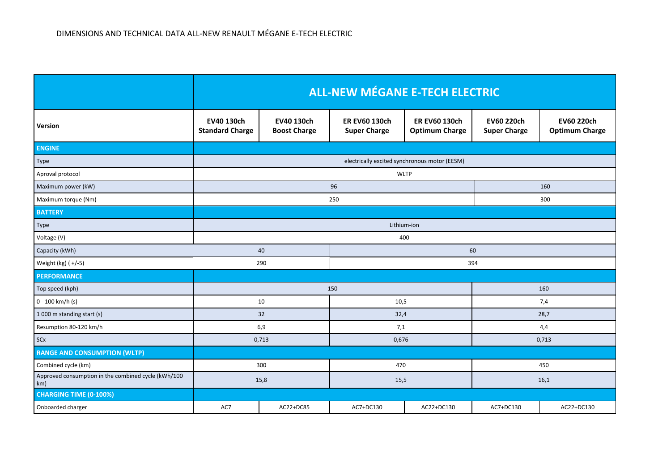|                                                            | <b>ALL-NEW MÉGANE E-TECH ELECTRIC</b>         |                                   |                                             |                                               |                                   |                                            |  |
|------------------------------------------------------------|-----------------------------------------------|-----------------------------------|---------------------------------------------|-----------------------------------------------|-----------------------------------|--------------------------------------------|--|
| Version                                                    | EV40 130ch<br><b>Standard Charge</b>          | EV40 130ch<br><b>Boost Charge</b> | <b>ER EV60 130ch</b><br><b>Super Charge</b> | <b>ER EV60 130ch</b><br><b>Optimum Charge</b> | EV60 220ch<br><b>Super Charge</b> | <b>EV60 220ch</b><br><b>Optimum Charge</b> |  |
| <b>ENGINE</b>                                              |                                               |                                   |                                             |                                               |                                   |                                            |  |
| Type                                                       | electrically excited synchronous motor (EESM) |                                   |                                             |                                               |                                   |                                            |  |
| Aproval protocol                                           | <b>WLTP</b>                                   |                                   |                                             |                                               |                                   |                                            |  |
| Maximum power (kW)                                         | 96                                            |                                   |                                             |                                               | 160                               |                                            |  |
| Maximum torque (Nm)                                        | 250                                           |                                   |                                             |                                               | 300                               |                                            |  |
| <b>BATTERY</b>                                             |                                               |                                   |                                             |                                               |                                   |                                            |  |
| Type                                                       | Lithium-ion                                   |                                   |                                             |                                               |                                   |                                            |  |
| Voltage (V)                                                | 400                                           |                                   |                                             |                                               |                                   |                                            |  |
| Capacity (kWh)                                             | 40<br>60                                      |                                   |                                             |                                               |                                   |                                            |  |
| Weight (kg) (+/-5)                                         | 290<br>394                                    |                                   |                                             |                                               |                                   |                                            |  |
| <b>PERFORMANCE</b>                                         |                                               |                                   |                                             |                                               |                                   |                                            |  |
| Top speed (kph)                                            | 150                                           |                                   |                                             | 160                                           |                                   |                                            |  |
| 0 - 100 km/h (s)                                           | 10                                            |                                   | 10,5                                        |                                               | 7,4                               |                                            |  |
| 1 000 m standing start (s)                                 | 32                                            |                                   | 32,4                                        |                                               | 28,7                              |                                            |  |
| Resumption 80-120 km/h                                     | 6,9                                           |                                   | 7,1                                         |                                               | 4,4                               |                                            |  |
| SCx                                                        | 0,713                                         |                                   | 0,676                                       |                                               | 0,713                             |                                            |  |
| <b>RANGE AND CONSUMPTION (WLTP)</b>                        |                                               |                                   |                                             |                                               |                                   |                                            |  |
| Combined cycle (km)                                        | 300                                           |                                   | 470                                         |                                               | 450                               |                                            |  |
| Approved consumption in the combined cycle (kWh/100<br>km) | 15,8                                          |                                   | 15,5                                        |                                               | 16,1                              |                                            |  |
| <b>CHARGING TIME (0-100%)</b>                              |                                               |                                   |                                             |                                               |                                   |                                            |  |
| Onboarded charger                                          | AC7                                           | AC22+DC85                         | AC7+DC130                                   | AC22+DC130                                    | AC7+DC130                         | AC22+DC130                                 |  |